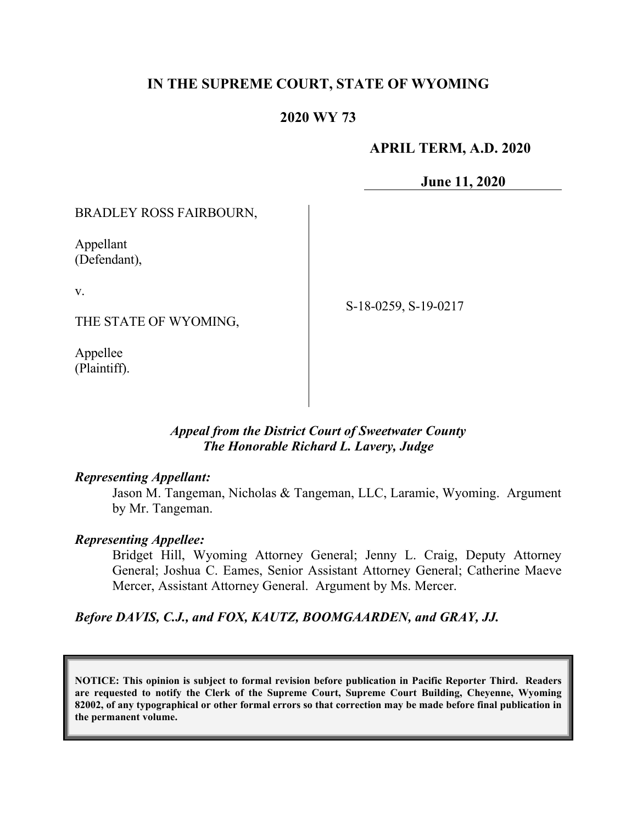## **IN THE SUPREME COURT, STATE OF WYOMING**

### **2020 WY 73**

### **APRIL TERM, A.D. 2020**

**June 11, 2020**

### BRADLEY ROSS FAIRBOURN,

Appellant (Defendant),

v.

THE STATE OF WYOMING,

Appellee (Plaintiff). S-18-0259, S-19-0217

#### *Appeal from the District Court of Sweetwater County The Honorable Richard L. Lavery, Judge*

#### *Representing Appellant:*

Jason M. Tangeman, Nicholas & Tangeman, LLC, Laramie, Wyoming. Argument by Mr. Tangeman.

#### *Representing Appellee:*

Bridget Hill, Wyoming Attorney General; Jenny L. Craig, Deputy Attorney General; Joshua C. Eames, Senior Assistant Attorney General; Catherine Maeve Mercer, Assistant Attorney General. Argument by Ms. Mercer.

*Before DAVIS, C.J., and FOX, KAUTZ, BOOMGAARDEN, and GRAY, JJ.*

**NOTICE: This opinion is subject to formal revision before publication in Pacific Reporter Third. Readers are requested to notify the Clerk of the Supreme Court, Supreme Court Building, Cheyenne, Wyoming 82002, of any typographical or other formal errors so that correction may be made before final publication in the permanent volume.**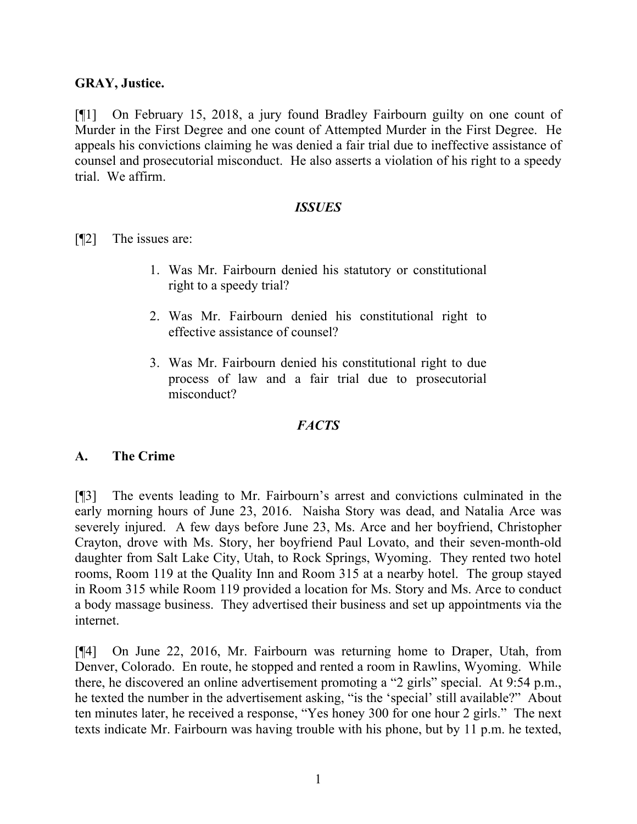### **GRAY, Justice.**

[¶1] On February 15, 2018, a jury found Bradley Fairbourn guilty on one count of Murder in the First Degree and one count of Attempted Murder in the First Degree. He appeals his convictions claiming he was denied a fair trial due to ineffective assistance of counsel and prosecutorial misconduct. He also asserts a violation of his right to a speedy trial. We affirm.

#### *ISSUES*

[¶2] The issues are:

- 1. Was Mr. Fairbourn denied his statutory or constitutional right to a speedy trial?
- 2. Was Mr. Fairbourn denied his constitutional right to effective assistance of counsel?
- 3. Was Mr. Fairbourn denied his constitutional right to due process of law and a fair trial due to prosecutorial misconduct?

### *FACTS*

#### **A. The Crime**

[¶3] The events leading to Mr. Fairbourn's arrest and convictions culminated in the early morning hours of June 23, 2016. Naisha Story was dead, and Natalia Arce was severely injured. A few days before June 23, Ms. Arce and her boyfriend, Christopher Crayton, drove with Ms. Story, her boyfriend Paul Lovato, and their seven-month-old daughter from Salt Lake City, Utah, to Rock Springs, Wyoming. They rented two hotel rooms, Room 119 at the Quality Inn and Room 315 at a nearby hotel. The group stayed in Room 315 while Room 119 provided a location for Ms. Story and Ms. Arce to conduct a body massage business. They advertised their business and set up appointments via the internet.

[¶4] On June 22, 2016, Mr. Fairbourn was returning home to Draper, Utah, from Denver, Colorado. En route, he stopped and rented a room in Rawlins, Wyoming. While there, he discovered an online advertisement promoting a "2 girls" special. At 9:54 p.m., he texted the number in the advertisement asking, "is the 'special' still available?" About ten minutes later, he received a response, "Yes honey 300 for one hour 2 girls." The next texts indicate Mr. Fairbourn was having trouble with his phone, but by 11 p.m. he texted,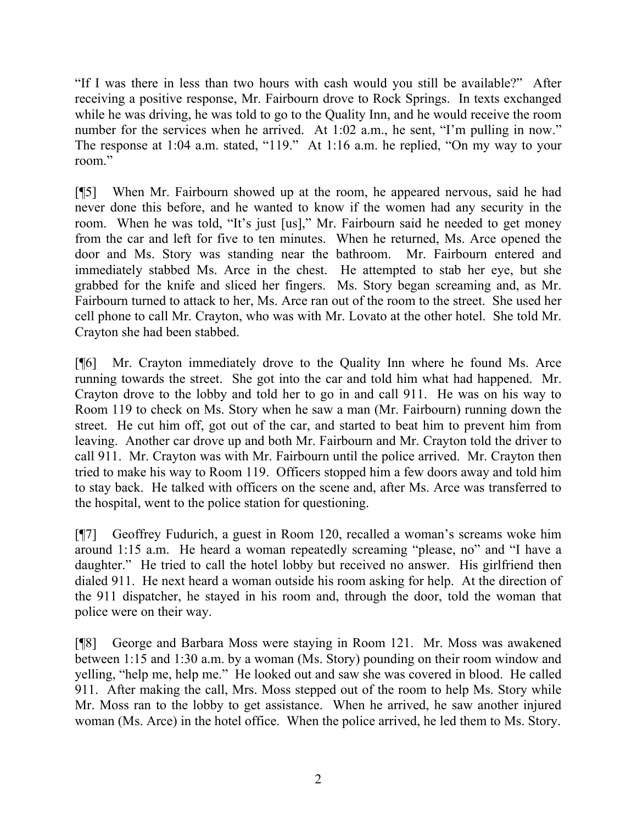"If I was there in less than two hours with cash would you still be available?" After receiving a positive response, Mr. Fairbourn drove to Rock Springs. In texts exchanged while he was driving, he was told to go to the Quality Inn, and he would receive the room number for the services when he arrived. At 1:02 a.m., he sent, "I'm pulling in now." The response at 1:04 a.m. stated, "119." At 1:16 a.m. he replied, "On my way to your room."

[¶5] When Mr. Fairbourn showed up at the room, he appeared nervous, said he had never done this before, and he wanted to know if the women had any security in the room. When he was told, "It's just [us]," Mr. Fairbourn said he needed to get money from the car and left for five to ten minutes. When he returned, Ms. Arce opened the door and Ms. Story was standing near the bathroom. Mr. Fairbourn entered and immediately stabbed Ms. Arce in the chest. He attempted to stab her eye, but she grabbed for the knife and sliced her fingers. Ms. Story began screaming and, as Mr. Fairbourn turned to attack to her, Ms. Arce ran out of the room to the street. She used her cell phone to call Mr. Crayton, who was with Mr. Lovato at the other hotel. She told Mr. Crayton she had been stabbed.

[¶6] Mr. Crayton immediately drove to the Quality Inn where he found Ms. Arce running towards the street. She got into the car and told him what had happened. Mr. Crayton drove to the lobby and told her to go in and call 911. He was on his way to Room 119 to check on Ms. Story when he saw a man (Mr. Fairbourn) running down the street. He cut him off, got out of the car, and started to beat him to prevent him from leaving. Another car drove up and both Mr. Fairbourn and Mr. Crayton told the driver to call 911. Mr. Crayton was with Mr. Fairbourn until the police arrived. Mr. Crayton then tried to make his way to Room 119. Officers stopped him a few doors away and told him to stay back. He talked with officers on the scene and, after Ms. Arce was transferred to the hospital, went to the police station for questioning.

[¶7] Geoffrey Fudurich, a guest in Room 120, recalled a woman's screams woke him around 1:15 a.m. He heard a woman repeatedly screaming "please, no" and "I have a daughter." He tried to call the hotel lobby but received no answer. His girlfriend then dialed 911. He next heard a woman outside his room asking for help. At the direction of the 911 dispatcher, he stayed in his room and, through the door, told the woman that police were on their way.

[¶8] George and Barbara Moss were staying in Room 121. Mr. Moss was awakened between 1:15 and 1:30 a.m. by a woman (Ms. Story) pounding on their room window and yelling, "help me, help me." He looked out and saw she was covered in blood. He called 911. After making the call, Mrs. Moss stepped out of the room to help Ms. Story while Mr. Moss ran to the lobby to get assistance. When he arrived, he saw another injured woman (Ms. Arce) in the hotel office. When the police arrived, he led them to Ms. Story.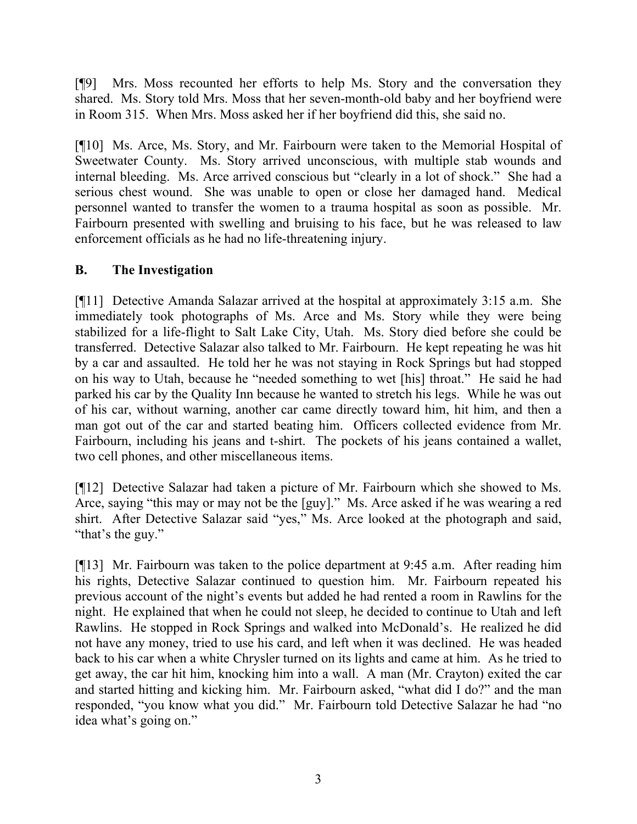[¶9] Mrs. Moss recounted her efforts to help Ms. Story and the conversation they shared. Ms. Story told Mrs. Moss that her seven-month-old baby and her boyfriend were in Room 315. When Mrs. Moss asked her if her boyfriend did this, she said no.

[¶10] Ms. Arce, Ms. Story, and Mr. Fairbourn were taken to the Memorial Hospital of Sweetwater County. Ms. Story arrived unconscious, with multiple stab wounds and internal bleeding. Ms. Arce arrived conscious but "clearly in a lot of shock." She had a serious chest wound. She was unable to open or close her damaged hand. Medical personnel wanted to transfer the women to a trauma hospital as soon as possible. Mr. Fairbourn presented with swelling and bruising to his face, but he was released to law enforcement officials as he had no life-threatening injury.

## **B. The Investigation**

[¶11] Detective Amanda Salazar arrived at the hospital at approximately 3:15 a.m. She immediately took photographs of Ms. Arce and Ms. Story while they were being stabilized for a life-flight to Salt Lake City, Utah. Ms. Story died before she could be transferred. Detective Salazar also talked to Mr. Fairbourn. He kept repeating he was hit by a car and assaulted. He told her he was not staying in Rock Springs but had stopped on his way to Utah, because he "needed something to wet [his] throat." He said he had parked his car by the Quality Inn because he wanted to stretch his legs. While he was out of his car, without warning, another car came directly toward him, hit him, and then a man got out of the car and started beating him. Officers collected evidence from Mr. Fairbourn, including his jeans and t-shirt. The pockets of his jeans contained a wallet, two cell phones, and other miscellaneous items.

[¶12] Detective Salazar had taken a picture of Mr. Fairbourn which she showed to Ms. Arce, saying "this may or may not be the [guy]." Ms. Arce asked if he was wearing a red shirt. After Detective Salazar said "yes," Ms. Arce looked at the photograph and said, "that's the guy."

[¶13] Mr. Fairbourn was taken to the police department at 9:45 a.m. After reading him his rights, Detective Salazar continued to question him. Mr. Fairbourn repeated his previous account of the night's events but added he had rented a room in Rawlins for the night. He explained that when he could not sleep, he decided to continue to Utah and left Rawlins. He stopped in Rock Springs and walked into McDonald's. He realized he did not have any money, tried to use his card, and left when it was declined. He was headed back to his car when a white Chrysler turned on its lights and came at him. As he tried to get away, the car hit him, knocking him into a wall. A man (Mr. Crayton) exited the car and started hitting and kicking him. Mr. Fairbourn asked, "what did I do?" and the man responded, "you know what you did." Mr. Fairbourn told Detective Salazar he had "no idea what's going on."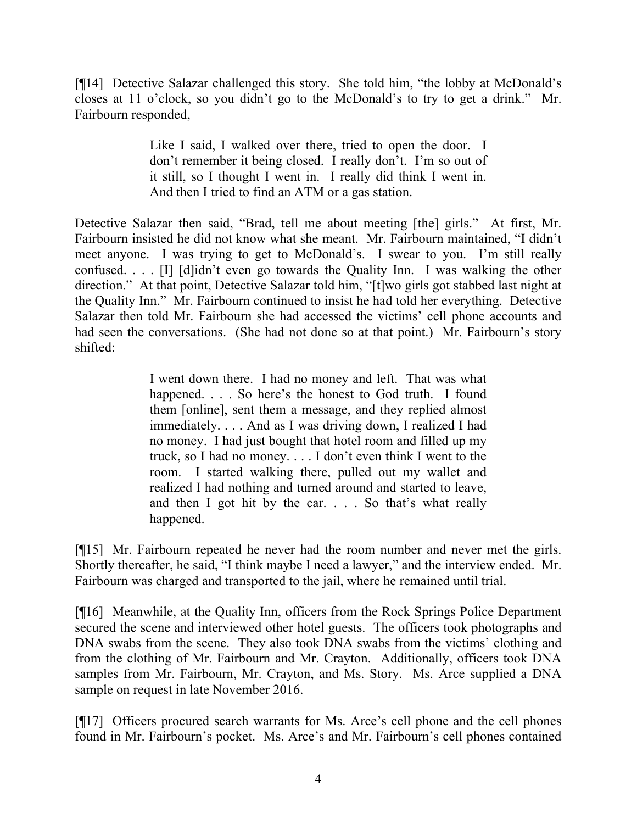[¶14] Detective Salazar challenged this story. She told him, "the lobby at McDonald's closes at 11 o'clock, so you didn't go to the McDonald's to try to get a drink." Mr. Fairbourn responded,

> Like I said, I walked over there, tried to open the door. I don't remember it being closed. I really don't. I'm so out of it still, so I thought I went in. I really did think I went in. And then I tried to find an ATM or a gas station.

Detective Salazar then said, "Brad, tell me about meeting [the] girls." At first, Mr. Fairbourn insisted he did not know what she meant. Mr. Fairbourn maintained, "I didn't meet anyone. I was trying to get to McDonald's. I swear to you. I'm still really confused. . . . [I] [d]idn't even go towards the Quality Inn. I was walking the other direction." At that point, Detective Salazar told him, "[t]wo girls got stabbed last night at the Quality Inn." Mr. Fairbourn continued to insist he had told her everything. Detective Salazar then told Mr. Fairbourn she had accessed the victims' cell phone accounts and had seen the conversations. (She had not done so at that point.) Mr. Fairbourn's story shifted:

> I went down there. I had no money and left. That was what happened. . . . So here's the honest to God truth. I found them [online], sent them a message, and they replied almost immediately. . . . And as I was driving down, I realized I had no money. I had just bought that hotel room and filled up my truck, so I had no money. . . . I don't even think I went to the room. I started walking there, pulled out my wallet and realized I had nothing and turned around and started to leave, and then I got hit by the car. . . . So that's what really happened.

[¶15] Mr. Fairbourn repeated he never had the room number and never met the girls. Shortly thereafter, he said, "I think maybe I need a lawyer," and the interview ended. Mr. Fairbourn was charged and transported to the jail, where he remained until trial.

[¶16] Meanwhile, at the Quality Inn, officers from the Rock Springs Police Department secured the scene and interviewed other hotel guests. The officers took photographs and DNA swabs from the scene. They also took DNA swabs from the victims' clothing and from the clothing of Mr. Fairbourn and Mr. Crayton. Additionally, officers took DNA samples from Mr. Fairbourn, Mr. Crayton, and Ms. Story. Ms. Arce supplied a DNA sample on request in late November 2016.

[¶17] Officers procured search warrants for Ms. Arce's cell phone and the cell phones found in Mr. Fairbourn's pocket. Ms. Arce's and Mr. Fairbourn's cell phones contained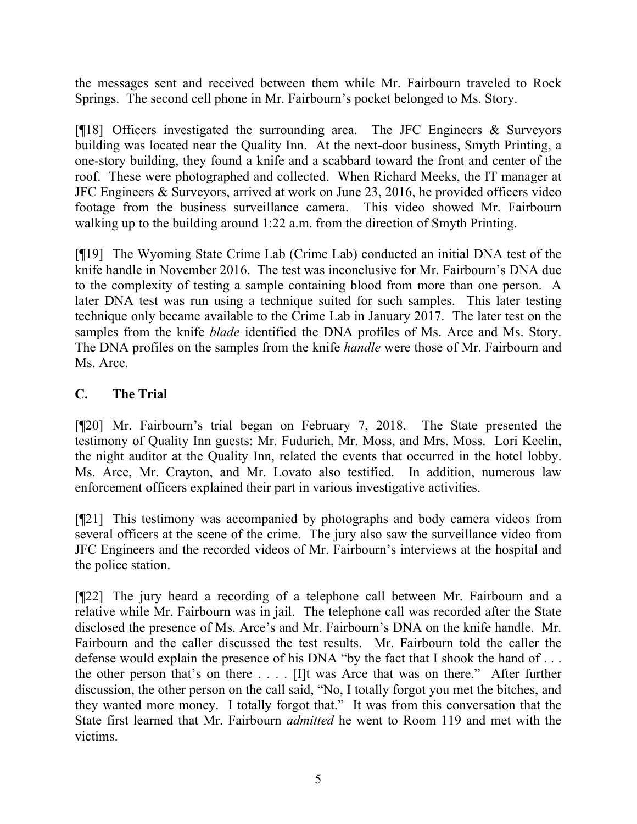the messages sent and received between them while Mr. Fairbourn traveled to Rock Springs. The second cell phone in Mr. Fairbourn's pocket belonged to Ms. Story.

[¶18] Officers investigated the surrounding area. The JFC Engineers & Surveyors building was located near the Quality Inn. At the next-door business, Smyth Printing, a one-story building, they found a knife and a scabbard toward the front and center of the roof. These were photographed and collected. When Richard Meeks, the IT manager at JFC Engineers & Surveyors, arrived at work on June 23, 2016, he provided officers video footage from the business surveillance camera. This video showed Mr. Fairbourn walking up to the building around 1:22 a.m. from the direction of Smyth Printing.

[¶19] The Wyoming State Crime Lab (Crime Lab) conducted an initial DNA test of the knife handle in November 2016. The test was inconclusive for Mr. Fairbourn's DNA due to the complexity of testing a sample containing blood from more than one person. A later DNA test was run using a technique suited for such samples. This later testing technique only became available to the Crime Lab in January 2017. The later test on the samples from the knife *blade* identified the DNA profiles of Ms. Arce and Ms. Story. The DNA profiles on the samples from the knife *handle* were those of Mr. Fairbourn and Ms. Arce.

# **C. The Trial**

[¶20] Mr. Fairbourn's trial began on February 7, 2018. The State presented the testimony of Quality Inn guests: Mr. Fudurich, Mr. Moss, and Mrs. Moss. Lori Keelin, the night auditor at the Quality Inn, related the events that occurred in the hotel lobby. Ms. Arce, Mr. Crayton, and Mr. Lovato also testified. In addition, numerous law enforcement officers explained their part in various investigative activities.

[¶21] This testimony was accompanied by photographs and body camera videos from several officers at the scene of the crime. The jury also saw the surveillance video from JFC Engineers and the recorded videos of Mr. Fairbourn's interviews at the hospital and the police station.

[¶22] The jury heard a recording of a telephone call between Mr. Fairbourn and a relative while Mr. Fairbourn was in jail. The telephone call was recorded after the State disclosed the presence of Ms. Arce's and Mr. Fairbourn's DNA on the knife handle. Mr. Fairbourn and the caller discussed the test results. Mr. Fairbourn told the caller the defense would explain the presence of his DNA "by the fact that I shook the hand of . . . the other person that's on there . . . . [I]t was Arce that was on there." After further discussion, the other person on the call said, "No, I totally forgot you met the bitches, and they wanted more money. I totally forgot that." It was from this conversation that the State first learned that Mr. Fairbourn *admitted* he went to Room 119 and met with the victims.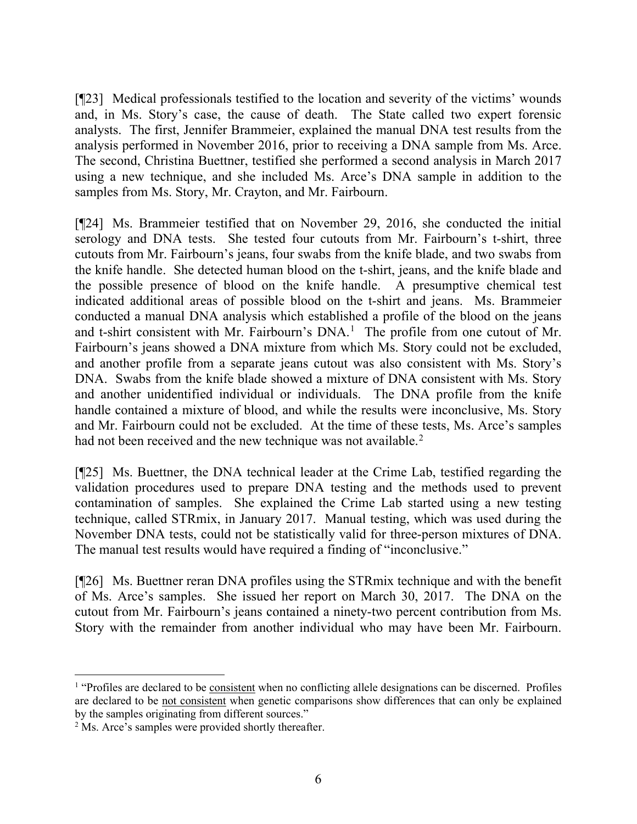[¶23] Medical professionals testified to the location and severity of the victims' wounds and, in Ms. Story's case, the cause of death. The State called two expert forensic analysts. The first, Jennifer Brammeier, explained the manual DNA test results from the analysis performed in November 2016, prior to receiving a DNA sample from Ms. Arce. The second, Christina Buettner, testified she performed a second analysis in March 2017 using a new technique, and she included Ms. Arce's DNA sample in addition to the samples from Ms. Story, Mr. Crayton, and Mr. Fairbourn.

[¶24] Ms. Brammeier testified that on November 29, 2016, she conducted the initial serology and DNA tests. She tested four cutouts from Mr. Fairbourn's t-shirt, three cutouts from Mr. Fairbourn's jeans, four swabs from the knife blade, and two swabs from the knife handle. She detected human blood on the t-shirt, jeans, and the knife blade and the possible presence of blood on the knife handle. A presumptive chemical test indicated additional areas of possible blood on the t-shirt and jeans. Ms. Brammeier conducted a manual DNA analysis which established a profile of the blood on the jeans and t-shirt consistent with Mr. Fairbourn's  $DNA<sup>1</sup>$  $DNA<sup>1</sup>$  $DNA<sup>1</sup>$  The profile from one cutout of Mr. Fairbourn's jeans showed a DNA mixture from which Ms. Story could not be excluded, and another profile from a separate jeans cutout was also consistent with Ms. Story's DNA. Swabs from the knife blade showed a mixture of DNA consistent with Ms. Story and another unidentified individual or individuals. The DNA profile from the knife handle contained a mixture of blood, and while the results were inconclusive, Ms. Story and Mr. Fairbourn could not be excluded. At the time of these tests, Ms. Arce's samples had not been received and the new technique was not available.<sup>[2](#page-6-1)</sup>

[¶25] Ms. Buettner, the DNA technical leader at the Crime Lab, testified regarding the validation procedures used to prepare DNA testing and the methods used to prevent contamination of samples. She explained the Crime Lab started using a new testing technique, called STRmix, in January 2017. Manual testing, which was used during the November DNA tests, could not be statistically valid for three-person mixtures of DNA. The manual test results would have required a finding of "inconclusive."

[¶26] Ms. Buettner reran DNA profiles using the STRmix technique and with the benefit of Ms. Arce's samples. She issued her report on March 30, 2017. The DNA on the cutout from Mr. Fairbourn's jeans contained a ninety-two percent contribution from Ms. Story with the remainder from another individual who may have been Mr. Fairbourn.

<span id="page-6-0"></span><sup>&</sup>lt;sup>1</sup> "Profiles are declared to be consistent when no conflicting allele designations can be discerned. Profiles are declared to be not consistent when genetic comparisons show differences that can only be explained by the samples originating from different sources."

<span id="page-6-1"></span><sup>&</sup>lt;sup>2</sup> Ms. Arce's samples were provided shortly thereafter.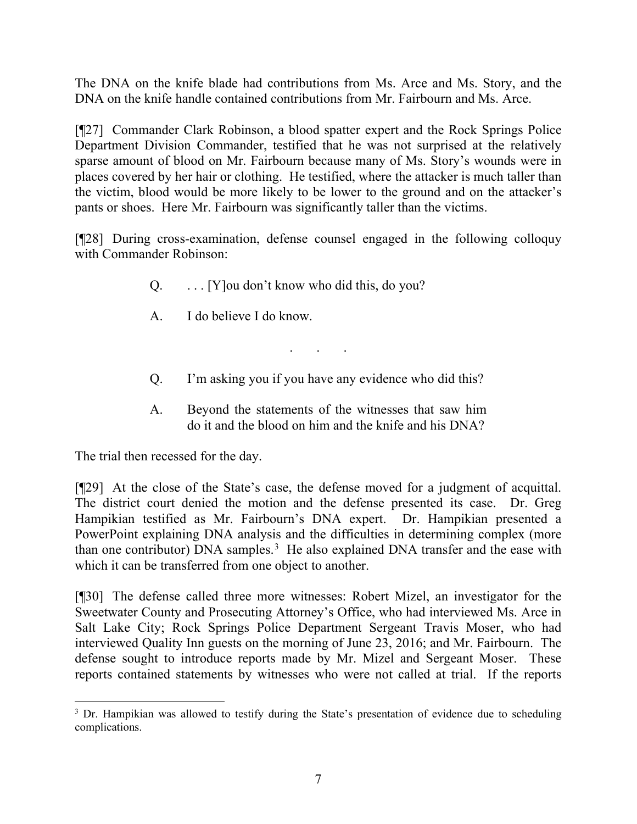The DNA on the knife blade had contributions from Ms. Arce and Ms. Story, and the DNA on the knife handle contained contributions from Mr. Fairbourn and Ms. Arce.

[¶27] Commander Clark Robinson, a blood spatter expert and the Rock Springs Police Department Division Commander, testified that he was not surprised at the relatively sparse amount of blood on Mr. Fairbourn because many of Ms. Story's wounds were in places covered by her hair or clothing. He testified, where the attacker is much taller than the victim, blood would be more likely to be lower to the ground and on the attacker's pants or shoes. Here Mr. Fairbourn was significantly taller than the victims.

[¶28] During cross-examination, defense counsel engaged in the following colloquy with Commander Robinson:

- Q. . . . [Y]ou don't know who did this, do you?
- A. I do believe I do know.
- Q. I'm asking you if you have any evidence who did this?

. . .

A. Beyond the statements of the witnesses that saw him do it and the blood on him and the knife and his DNA?

The trial then recessed for the day.

[¶29] At the close of the State's case, the defense moved for a judgment of acquittal. The district court denied the motion and the defense presented its case. Dr. Greg Hampikian testified as Mr. Fairbourn's DNA expert. Dr. Hampikian presented a PowerPoint explaining DNA analysis and the difficulties in determining complex (more than one contributor) DNA samples.<sup>[3](#page-7-0)</sup> He also explained DNA transfer and the ease with which it can be transferred from one object to another.

[¶30] The defense called three more witnesses: Robert Mizel, an investigator for the Sweetwater County and Prosecuting Attorney's Office, who had interviewed Ms. Arce in Salt Lake City; Rock Springs Police Department Sergeant Travis Moser, who had interviewed Quality Inn guests on the morning of June 23, 2016; and Mr. Fairbourn. The defense sought to introduce reports made by Mr. Mizel and Sergeant Moser. These reports contained statements by witnesses who were not called at trial. If the reports

<span id="page-7-0"></span><sup>&</sup>lt;sup>3</sup> Dr. Hampikian was allowed to testify during the State's presentation of evidence due to scheduling complications.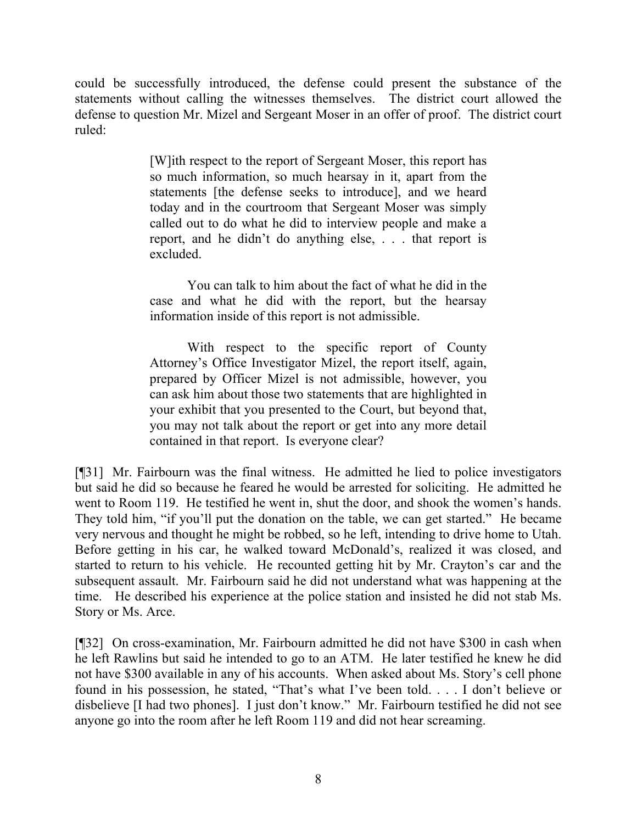could be successfully introduced, the defense could present the substance of the statements without calling the witnesses themselves. The district court allowed the defense to question Mr. Mizel and Sergeant Moser in an offer of proof. The district court ruled:

> [W]ith respect to the report of Sergeant Moser, this report has so much information, so much hearsay in it, apart from the statements [the defense seeks to introduce], and we heard today and in the courtroom that Sergeant Moser was simply called out to do what he did to interview people and make a report, and he didn't do anything else, . . . that report is excluded.

> You can talk to him about the fact of what he did in the case and what he did with the report, but the hearsay information inside of this report is not admissible.

> With respect to the specific report of County Attorney's Office Investigator Mizel, the report itself, again, prepared by Officer Mizel is not admissible, however, you can ask him about those two statements that are highlighted in your exhibit that you presented to the Court, but beyond that, you may not talk about the report or get into any more detail contained in that report. Is everyone clear?

[¶31] Mr. Fairbourn was the final witness. He admitted he lied to police investigators but said he did so because he feared he would be arrested for soliciting. He admitted he went to Room 119. He testified he went in, shut the door, and shook the women's hands. They told him, "if you'll put the donation on the table, we can get started." He became very nervous and thought he might be robbed, so he left, intending to drive home to Utah. Before getting in his car, he walked toward McDonald's, realized it was closed, and started to return to his vehicle. He recounted getting hit by Mr. Crayton's car and the subsequent assault. Mr. Fairbourn said he did not understand what was happening at the time. He described his experience at the police station and insisted he did not stab Ms. Story or Ms. Arce.

[¶32] On cross-examination, Mr. Fairbourn admitted he did not have \$300 in cash when he left Rawlins but said he intended to go to an ATM. He later testified he knew he did not have \$300 available in any of his accounts. When asked about Ms. Story's cell phone found in his possession, he stated, "That's what I've been told. . . . I don't believe or disbelieve [I had two phones]. I just don't know." Mr. Fairbourn testified he did not see anyone go into the room after he left Room 119 and did not hear screaming.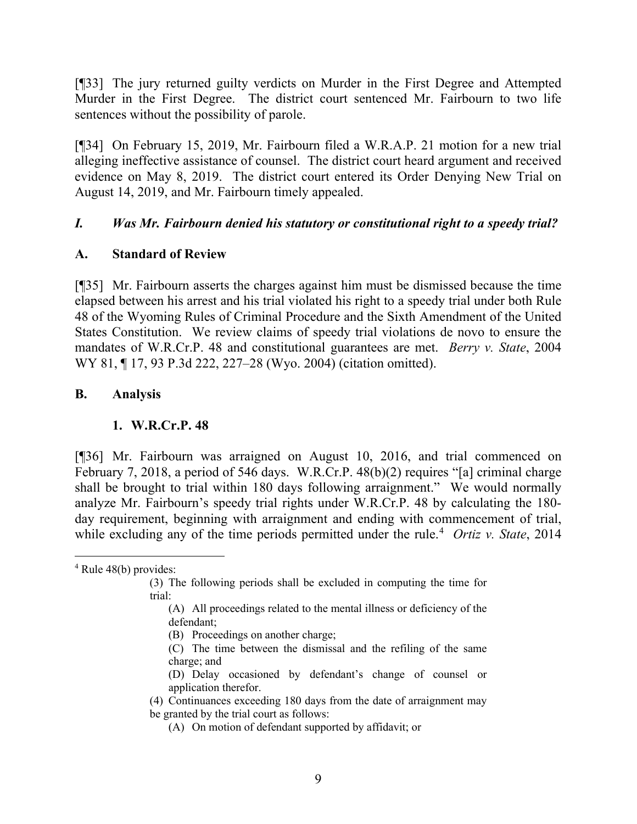[¶33] The jury returned guilty verdicts on Murder in the First Degree and Attempted Murder in the First Degree. The district court sentenced Mr. Fairbourn to two life sentences without the possibility of parole.

[¶34] On February 15, 2019, Mr. Fairbourn filed a W.R.A.P. 21 motion for a new trial alleging ineffective assistance of counsel. The district court heard argument and received evidence on May 8, 2019. The district court entered its Order Denying New Trial on August 14, 2019, and Mr. Fairbourn timely appealed.

## *I. Was Mr. Fairbourn denied his statutory or constitutional right to a speedy trial?*

## **A. Standard of Review**

[¶35] Mr. Fairbourn asserts the charges against him must be dismissed because the time elapsed between his arrest and his trial violated his right to a speedy trial under both Rule 48 of the Wyoming Rules of Criminal Procedure and the Sixth Amendment of the United States Constitution. We review claims of speedy trial violations de novo to ensure the mandates of W.R.Cr.P. 48 and constitutional guarantees are met. *Berry v. State*, 2004 WY 81, ¶ 17, 93 P.3d 222, 227–28 (Wyo. 2004) (citation omitted).

## **B. Analysis**

### **1. W.R.Cr.P. 48**

[¶36] Mr. Fairbourn was arraigned on August 10, 2016, and trial commenced on February 7, 2018, a period of 546 days. W.R.Cr.P. 48(b)(2) requires "[a] criminal charge shall be brought to trial within 180 days following arraignment." We would normally analyze Mr. Fairbourn's speedy trial rights under W.R.Cr.P. 48 by calculating the 180 day requirement, beginning with arraignment and ending with commencement of trial, while excluding any of the time periods permitted under the rule. [4](#page-9-0) *Ortiz v. State*, 2014

- (B) Proceedings on another charge;
- (C) The time between the dismissal and the refiling of the same charge; and
- (D) Delay occasioned by defendant's change of counsel or application therefor.
- (4) Continuances exceeding 180 days from the date of arraignment may be granted by the trial court as follows:
	- (A) On motion of defendant supported by affidavit; or

<span id="page-9-0"></span> $4$  Rule 48(b) provides:

<sup>(3)</sup> The following periods shall be excluded in computing the time for trial:

<sup>(</sup>A) All proceedings related to the mental illness or deficiency of the defendant;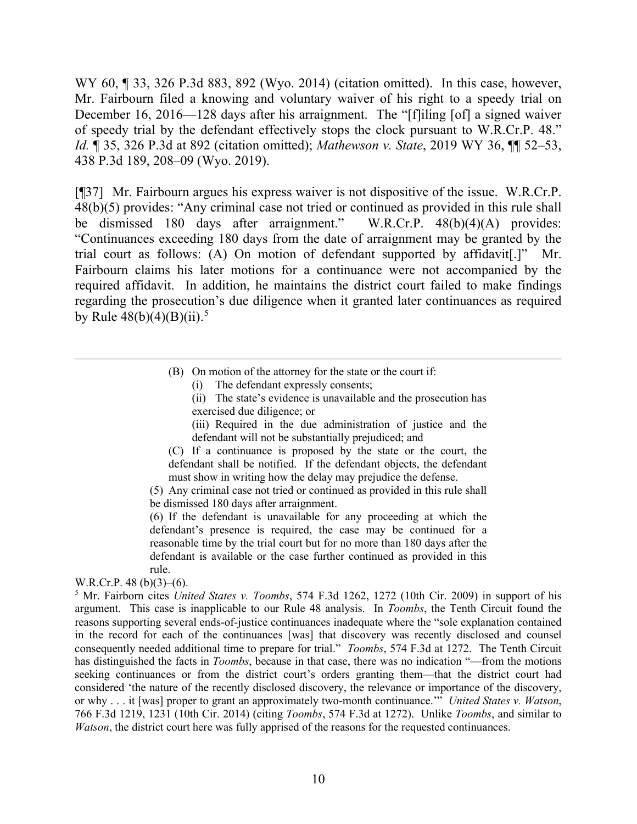WY 60, ¶ 33, 326 P.3d 883, 892 (Wyo. 2014) (citation omitted). In this case, however, Mr. Fairbourn filed a knowing and voluntary waiver of his right to a speedy trial on December 16, 2016—128 days after his arraignment. The "[f]iling [of] a signed waiver of speedy trial by the defendant effectively stops the clock pursuant to W.R.Cr.P. 48." *Id.* ¶ 35, 326 P.3d at 892 (citation omitted); *Mathewson v. State*, 2019 WY 36, ¶¶ 52–53, 438 P.3d 189, 208–09 (Wyo. 2019).

[¶37] Mr. Fairbourn argues his express waiver is not dispositive of the issue. W.R.Cr.P. 48(b)(5) provides: "Any criminal case not tried or continued as provided in this rule shall be dismissed 180 days after arraignment." W.R.Cr.P. 48(b)(4)(A) provides: "Continuances exceeding 180 days from the date of arraignment may be granted by the trial court as follows: (A) On motion of defendant supported by affidavit[.]" Mr. Fairbourn claims his later motions for a continuance were not accompanied by the required affidavit. In addition, he maintains the district court failed to make findings regarding the prosecution's due diligence when it granted later continuances as required by Rule 48(b)(4)(B)(ii). [5](#page-10-0)

- (B) On motion of the attorney for the state or the court if:
	- (i) The defendant expressly consents;
	- (ii) The state's evidence is unavailable and the prosecution has exercised due diligence; or

(iii) Required in the due administration of justice and the defendant will not be substantially prejudiced; and

(C) If a continuance is proposed by the state or the court, the defendant shall be notified. If the defendant objects, the defendant must show in writing how the delay may prejudice the defense.

(5) Any criminal case not tried or continued as provided in this rule shall be dismissed 180 days after arraignment.

(6) If the defendant is unavailable for any proceeding at which the defendant's presence is required, the case may be continued for a reasonable time by the trial court but for no more than 180 days after the defendant is available or the case further continued as provided in this rule.

W.R.Cr.P. 48 (b)(3)–(6).

<span id="page-10-0"></span><sup>5</sup> Mr. Fairborn cites *United States v. Toombs*, 574 F.3d 1262, 1272 (10th Cir. 2009) in support of his argument. This case is inapplicable to our Rule 48 analysis. In *Toombs*, the Tenth Circuit found the reasons supporting several ends-of-justice continuances inadequate where the "sole explanation contained in the record for each of the continuances [was] that discovery was recently disclosed and counsel consequently needed additional time to prepare for trial." *Toombs*, 574 F.3d at 1272. The Tenth Circuit has distinguished the facts in *Toombs*, because in that case, there was no indication "—from the motions seeking continuances or from the district court's orders granting them—that the district court had considered 'the nature of the recently disclosed discovery, the relevance or importance of the discovery, or why . . . it [was] proper to grant an approximately two-month continuance.'" *United States v. Watson*, 766 F.3d 1219, 1231 (10th Cir. 2014) (citing *Toombs*, 574 F.3d at 1272). Unlike *Toombs*, and similar to *Watson*, the district court here was fully apprised of the reasons for the requested continuances.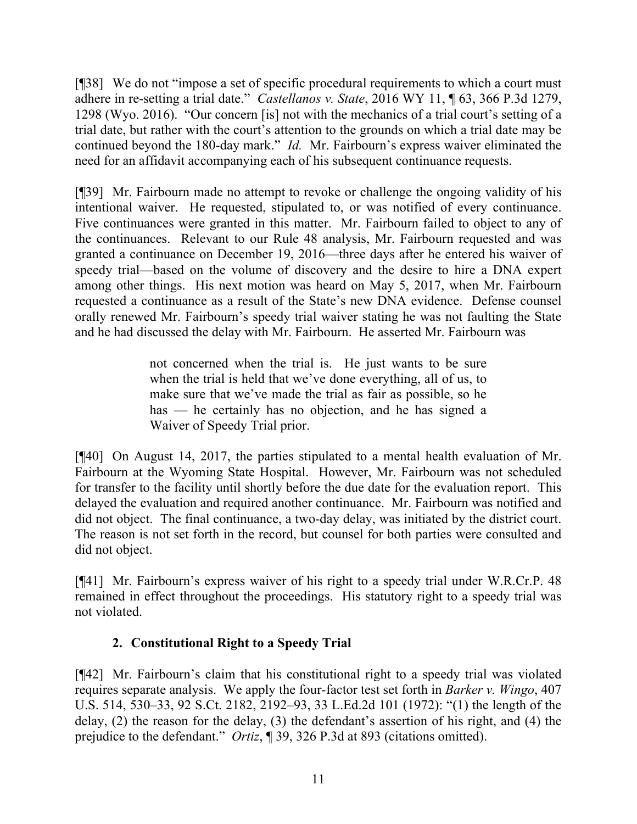[¶38] We do not "impose a set of specific procedural requirements to which a court must adhere in re-setting a trial date." *Castellanos v. State*, 2016 WY 11, ¶ 63, 366 P.3d 1279, 1298 (Wyo. 2016). "Our concern [is] not with the mechanics of a trial court's setting of a trial date, but rather with the court's attention to the grounds on which a trial date may be continued beyond the 180-day mark." *Id.* Mr. Fairbourn's express waiver eliminated the need for an affidavit accompanying each of his subsequent continuance requests.

[¶39] Mr. Fairbourn made no attempt to revoke or challenge the ongoing validity of his intentional waiver. He requested, stipulated to, or was notified of every continuance. Five continuances were granted in this matter. Mr. Fairbourn failed to object to any of the continuances. Relevant to our Rule 48 analysis, Mr. Fairbourn requested and was granted a continuance on December 19, 2016—three days after he entered his waiver of speedy trial—based on the volume of discovery and the desire to hire a DNA expert among other things. His next motion was heard on May 5, 2017, when Mr. Fairbourn requested a continuance as a result of the State's new DNA evidence. Defense counsel orally renewed Mr. Fairbourn's speedy trial waiver stating he was not faulting the State and he had discussed the delay with Mr. Fairbourn. He asserted Mr. Fairbourn was

> not concerned when the trial is. He just wants to be sure when the trial is held that we've done everything, all of us, to make sure that we've made the trial as fair as possible, so he has — he certainly has no objection, and he has signed a Waiver of Speedy Trial prior.

[¶40] On August 14, 2017, the parties stipulated to a mental health evaluation of Mr. Fairbourn at the Wyoming State Hospital. However, Mr. Fairbourn was not scheduled for transfer to the facility until shortly before the due date for the evaluation report. This delayed the evaluation and required another continuance. Mr. Fairbourn was notified and did not object. The final continuance, a two-day delay, was initiated by the district court. The reason is not set forth in the record, but counsel for both parties were consulted and did not object.

[¶41] Mr. Fairbourn's express waiver of his right to a speedy trial under W.R.Cr.P. 48 remained in effect throughout the proceedings. His statutory right to a speedy trial was not violated.

# **2. Constitutional Right to a Speedy Trial**

[¶42] Mr. Fairbourn's claim that his constitutional right to a speedy trial was violated requires separate analysis. We apply the four-factor test set forth in *Barker v. Wingo*, 407 U.S. 514, 530–33, 92 S.Ct. 2182, 2192–93, 33 L.Ed.2d 101 (1972): "(1) the length of the delay, (2) the reason for the delay, (3) the defendant's assertion of his right, and (4) the prejudice to the defendant." *Ortiz*, ¶ 39, 326 P.3d at 893 (citations omitted).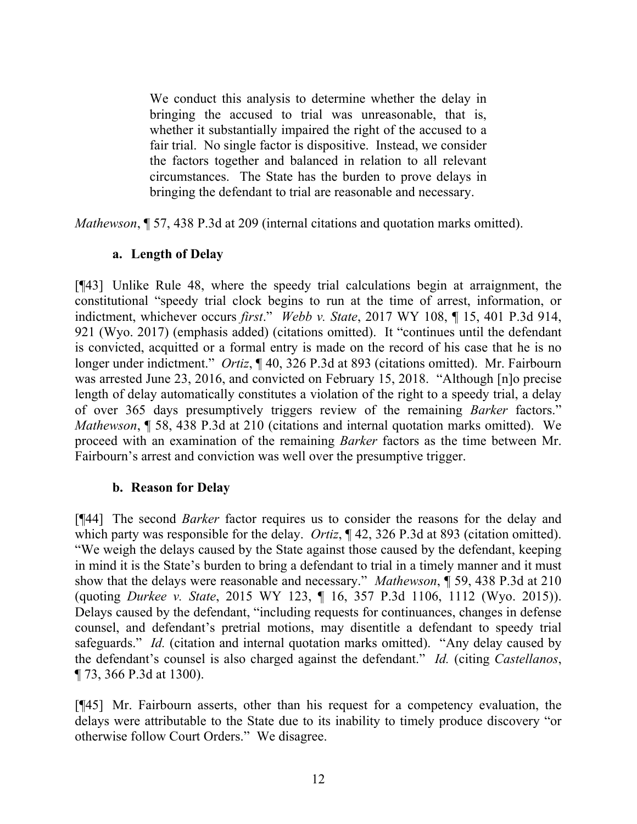We conduct this analysis to determine whether the delay in bringing the accused to trial was unreasonable, that is, whether it substantially impaired the right of the accused to a fair trial. No single factor is dispositive. Instead, we consider the factors together and balanced in relation to all relevant circumstances. The State has the burden to prove delays in bringing the defendant to trial are reasonable and necessary.

*Mathewson*, ¶ 57, 438 P.3d at 209 (internal citations and quotation marks omitted).

### **a. Length of Delay**

[¶43] Unlike Rule 48, where the speedy trial calculations begin at arraignment, the constitutional "speedy trial clock begins to run at the time of arrest, information, or indictment, whichever occurs *first*." *Webb v. State*, 2017 WY 108, ¶ 15, 401 P.3d 914, 921 (Wyo. 2017) (emphasis added) (citations omitted). It "continues until the defendant is convicted, acquitted or a formal entry is made on the record of his case that he is no longer under indictment." *Ortiz*, ¶ 40, 326 P.3d at 893 (citations omitted). Mr. Fairbourn was arrested June 23, 2016, and convicted on February 15, 2018. "Although [n]o precise length of delay automatically constitutes a violation of the right to a speedy trial, a delay of over 365 days presumptively triggers review of the remaining *Barker* factors." *Mathewson*, ¶ 58, 438 P.3d at 210 (citations and internal quotation marks omitted). We proceed with an examination of the remaining *Barker* factors as the time between Mr. Fairbourn's arrest and conviction was well over the presumptive trigger.

#### **b. Reason for Delay**

[¶44] The second *Barker* factor requires us to consider the reasons for the delay and which party was responsible for the delay. *Ortiz*, ¶ 42, 326 P.3d at 893 (citation omitted). "We weigh the delays caused by the State against those caused by the defendant, keeping in mind it is the State's burden to bring a defendant to trial in a timely manner and it must show that the delays were reasonable and necessary." *Mathewson*, ¶ 59, 438 P.3d at 210 (quoting *Durkee v. State*, 2015 WY 123, ¶ 16, 357 P.3d 1106, 1112 (Wyo. 2015)). Delays caused by the defendant, "including requests for continuances, changes in defense counsel, and defendant's pretrial motions, may disentitle a defendant to speedy trial safeguards." *Id.* (citation and internal quotation marks omitted). "Any delay caused by the defendant's counsel is also charged against the defendant." *Id.* (citing *Castellanos*, ¶ 73, 366 P.3d at 1300).

[¶45] Mr. Fairbourn asserts, other than his request for a competency evaluation, the delays were attributable to the State due to its inability to timely produce discovery "or otherwise follow Court Orders." We disagree.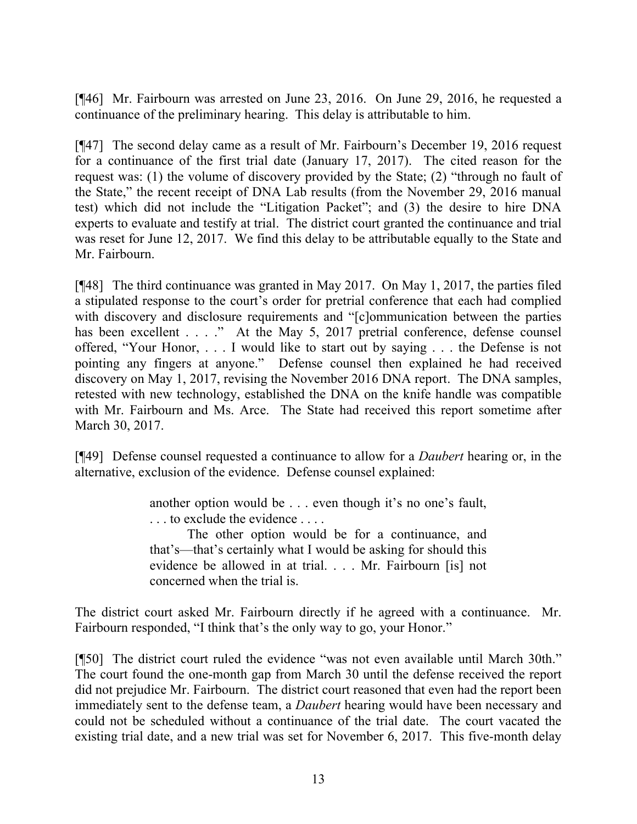[¶46] Mr. Fairbourn was arrested on June 23, 2016. On June 29, 2016, he requested a continuance of the preliminary hearing. This delay is attributable to him.

[¶47] The second delay came as a result of Mr. Fairbourn's December 19, 2016 request for a continuance of the first trial date (January 17, 2017). The cited reason for the request was: (1) the volume of discovery provided by the State; (2) "through no fault of the State," the recent receipt of DNA Lab results (from the November 29, 2016 manual test) which did not include the "Litigation Packet"; and (3) the desire to hire DNA experts to evaluate and testify at trial. The district court granted the continuance and trial was reset for June 12, 2017. We find this delay to be attributable equally to the State and Mr. Fairbourn.

[¶48] The third continuance was granted in May 2017. On May 1, 2017, the parties filed a stipulated response to the court's order for pretrial conference that each had complied with discovery and disclosure requirements and "[c]ommunication between the parties has been excellent . . . ." At the May 5, 2017 pretrial conference, defense counsel offered, "Your Honor, . . . I would like to start out by saying . . . the Defense is not pointing any fingers at anyone." Defense counsel then explained he had received discovery on May 1, 2017, revising the November 2016 DNA report. The DNA samples, retested with new technology, established the DNA on the knife handle was compatible with Mr. Fairbourn and Ms. Arce. The State had received this report sometime after March 30, 2017.

[¶49] Defense counsel requested a continuance to allow for a *Daubert* hearing or, in the alternative, exclusion of the evidence. Defense counsel explained:

> another option would be . . . even though it's no one's fault, . . . to exclude the evidence . . . .

> The other option would be for a continuance, and that's—that's certainly what I would be asking for should this evidence be allowed in at trial. . . . Mr. Fairbourn [is] not concerned when the trial is.

The district court asked Mr. Fairbourn directly if he agreed with a continuance. Mr. Fairbourn responded, "I think that's the only way to go, your Honor."

[¶50] The district court ruled the evidence "was not even available until March 30th." The court found the one-month gap from March 30 until the defense received the report did not prejudice Mr. Fairbourn. The district court reasoned that even had the report been immediately sent to the defense team, a *Daubert* hearing would have been necessary and could not be scheduled without a continuance of the trial date. The court vacated the existing trial date, and a new trial was set for November 6, 2017. This five-month delay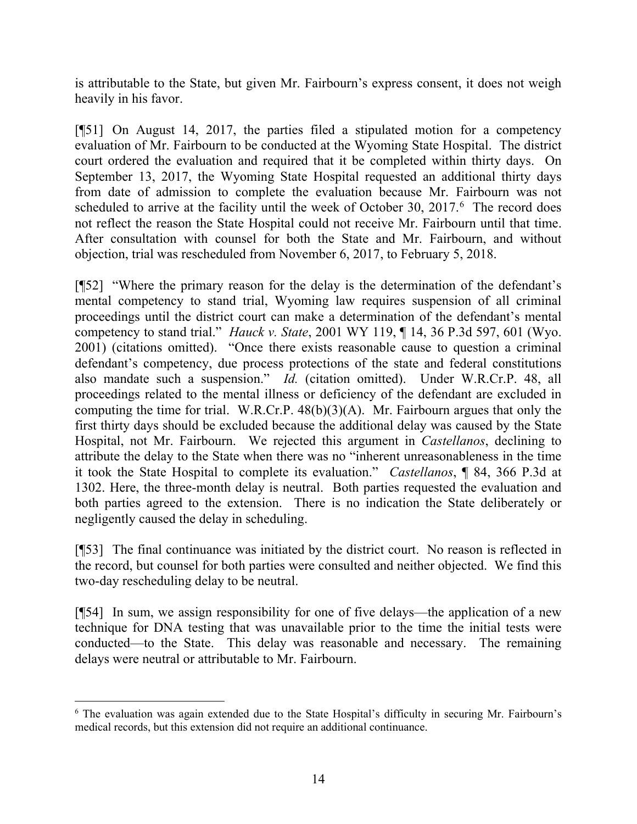is attributable to the State, but given Mr. Fairbourn's express consent, it does not weigh heavily in his favor.

[¶51] On August 14, 2017, the parties filed a stipulated motion for a competency evaluation of Mr. Fairbourn to be conducted at the Wyoming State Hospital. The district court ordered the evaluation and required that it be completed within thirty days. On September 13, 2017, the Wyoming State Hospital requested an additional thirty days from date of admission to complete the evaluation because Mr. Fairbourn was not scheduled to arrive at the facility until the week of October 30,  $2017<sup>6</sup>$  $2017<sup>6</sup>$  $2017<sup>6</sup>$  The record does not reflect the reason the State Hospital could not receive Mr. Fairbourn until that time. After consultation with counsel for both the State and Mr. Fairbourn, and without objection, trial was rescheduled from November 6, 2017, to February 5, 2018.

[¶52] "Where the primary reason for the delay is the determination of the defendant's mental competency to stand trial, Wyoming law requires suspension of all criminal proceedings until the district court can make a determination of the defendant's mental competency to stand trial." *Hauck v. State*, 2001 WY 119, ¶ 14, 36 P.3d 597, 601 (Wyo. 2001) (citations omitted). "Once there exists reasonable cause to question a criminal defendant's competency, due process protections of the state and federal constitutions also mandate such a suspension." *Id.* (citation omitted). Under W.R.Cr.P. 48, all proceedings related to the mental illness or deficiency of the defendant are excluded in computing the time for trial. W.R.Cr.P.  $48(b)(3)(A)$ . Mr. Fairbourn argues that only the first thirty days should be excluded because the additional delay was caused by the State Hospital, not Mr. Fairbourn. We rejected this argument in *Castellanos*, declining to attribute the delay to the State when there was no "inherent unreasonableness in the time it took the State Hospital to complete its evaluation." *Castellanos*, ¶ 84, 366 P.3d at 1302. Here, the three-month delay is neutral. Both parties requested the evaluation and both parties agreed to the extension. There is no indication the State deliberately or negligently caused the delay in scheduling.

[¶53] The final continuance was initiated by the district court. No reason is reflected in the record, but counsel for both parties were consulted and neither objected. We find this two-day rescheduling delay to be neutral.

[¶54] In sum, we assign responsibility for one of five delays—the application of a new technique for DNA testing that was unavailable prior to the time the initial tests were conducted—to the State. This delay was reasonable and necessary. The remaining delays were neutral or attributable to Mr. Fairbourn.

<span id="page-14-0"></span><sup>6</sup> The evaluation was again extended due to the State Hospital's difficulty in securing Mr. Fairbourn's medical records, but this extension did not require an additional continuance.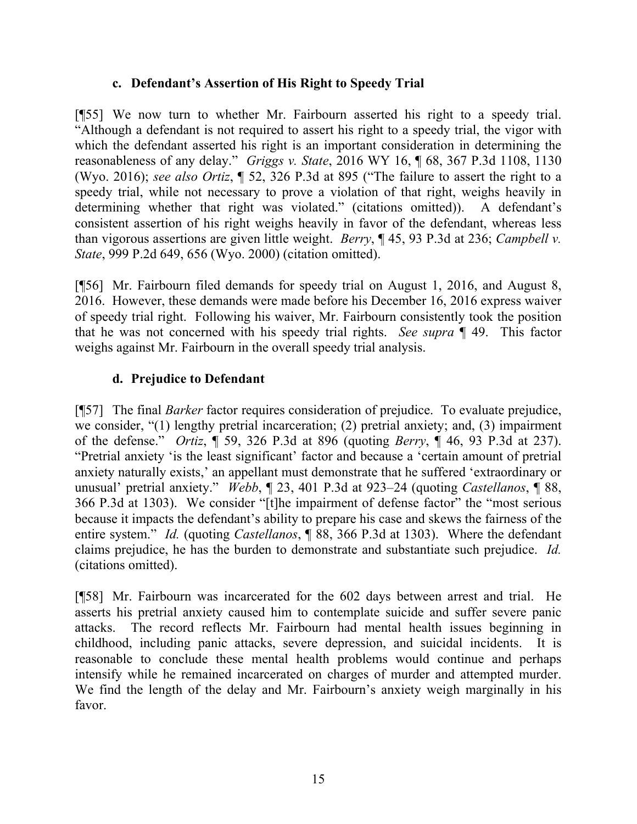### **c. Defendant's Assertion of His Right to Speedy Trial**

[¶55] We now turn to whether Mr. Fairbourn asserted his right to a speedy trial. "Although a defendant is not required to assert his right to a speedy trial, the vigor with which the defendant asserted his right is an important consideration in determining the reasonableness of any delay." *Griggs v. State*, 2016 WY 16, ¶ 68, 367 P.3d 1108, 1130 (Wyo. 2016); *see also Ortiz*, ¶ 52, 326 P.3d at 895 ("The failure to assert the right to a speedy trial, while not necessary to prove a violation of that right, weighs heavily in determining whether that right was violated." (citations omitted)). A defendant's consistent assertion of his right weighs heavily in favor of the defendant, whereas less than vigorous assertions are given little weight. *Berry*, ¶ 45, 93 P.3d at 236; *Campbell v. State*, 999 P.2d 649, 656 (Wyo. 2000) (citation omitted).

[¶56] Mr. Fairbourn filed demands for speedy trial on August 1, 2016, and August 8, 2016. However, these demands were made before his December 16, 2016 express waiver of speedy trial right. Following his waiver, Mr. Fairbourn consistently took the position that he was not concerned with his speedy trial rights. *See supra* ¶ 49. This factor weighs against Mr. Fairbourn in the overall speedy trial analysis.

# **d. Prejudice to Defendant**

[¶57] The final *Barker* factor requires consideration of prejudice. To evaluate prejudice, we consider, "(1) lengthy pretrial incarceration; (2) pretrial anxiety; and, (3) impairment of the defense." *Ortiz*, ¶ 59, 326 P.3d at 896 (quoting *Berry*, ¶ 46, 93 P.3d at 237). "Pretrial anxiety 'is the least significant' factor and because a 'certain amount of pretrial anxiety naturally exists,' an appellant must demonstrate that he suffered 'extraordinary or unusual' pretrial anxiety." *Webb*, ¶ 23, 401 P.3d at 923–24 (quoting *Castellanos*, ¶ 88, 366 P.3d at 1303). We consider "[t]he impairment of defense factor" the "most serious because it impacts the defendant's ability to prepare his case and skews the fairness of the entire system." *Id.* (quoting *Castellanos*, **[88, 366 P.3d at 1303**). Where the defendant claims prejudice, he has the burden to demonstrate and substantiate such prejudice. *Id.* (citations omitted).

[¶58] Mr. Fairbourn was incarcerated for the 602 days between arrest and trial. He asserts his pretrial anxiety caused him to contemplate suicide and suffer severe panic attacks. The record reflects Mr. Fairbourn had mental health issues beginning in childhood, including panic attacks, severe depression, and suicidal incidents. It is reasonable to conclude these mental health problems would continue and perhaps intensify while he remained incarcerated on charges of murder and attempted murder. We find the length of the delay and Mr. Fairbourn's anxiety weigh marginally in his favor.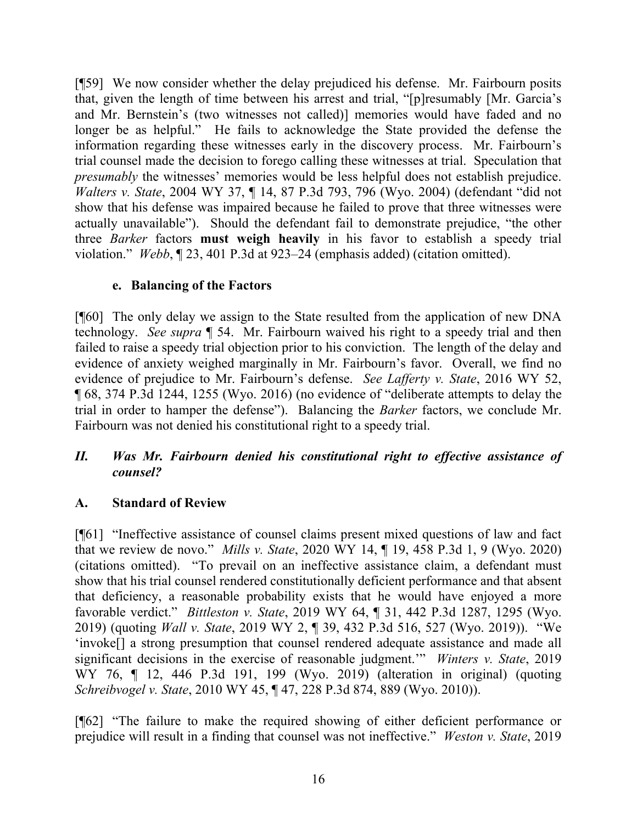[¶59] We now consider whether the delay prejudiced his defense. Mr. Fairbourn posits that, given the length of time between his arrest and trial, "[p]resumably [Mr. Garcia's and Mr. Bernstein's (two witnesses not called)] memories would have faded and no longer be as helpful." He fails to acknowledge the State provided the defense the information regarding these witnesses early in the discovery process. Mr. Fairbourn's trial counsel made the decision to forego calling these witnesses at trial. Speculation that *presumably* the witnesses' memories would be less helpful does not establish prejudice. *Walters v. State*, 2004 WY 37, ¶ 14, 87 P.3d 793, 796 (Wyo. 2004) (defendant "did not show that his defense was impaired because he failed to prove that three witnesses were actually unavailable"). Should the defendant fail to demonstrate prejudice, "the other three *Barker* factors **must weigh heavily** in his favor to establish a speedy trial violation." *Webb*, ¶ 23, 401 P.3d at 923–24 (emphasis added) (citation omitted).

## **e. Balancing of the Factors**

[¶60] The only delay we assign to the State resulted from the application of new DNA technology. *See supra* ¶ 54. Mr. Fairbourn waived his right to a speedy trial and then failed to raise a speedy trial objection prior to his conviction. The length of the delay and evidence of anxiety weighed marginally in Mr. Fairbourn's favor. Overall, we find no evidence of prejudice to Mr. Fairbourn's defense. *See Lafferty v. State*, 2016 WY 52, ¶ 68, 374 P.3d 1244, 1255 (Wyo. 2016) (no evidence of "deliberate attempts to delay the trial in order to hamper the defense"). Balancing the *Barker* factors, we conclude Mr. Fairbourn was not denied his constitutional right to a speedy trial.

## *II. Was Mr. Fairbourn denied his constitutional right to effective assistance of counsel?*

# **A. Standard of Review**

[¶61] "Ineffective assistance of counsel claims present mixed questions of law and fact that we review de novo." *Mills v. State*, 2020 WY 14, ¶ 19, 458 P.3d 1, 9 (Wyo. 2020) (citations omitted). "To prevail on an ineffective assistance claim, a defendant must show that his trial counsel rendered constitutionally deficient performance and that absent that deficiency, a reasonable probability exists that he would have enjoyed a more favorable verdict." *Bittleston v. State*, 2019 WY 64, ¶ 31, 442 P.3d 1287, 1295 (Wyo. 2019) (quoting *Wall v. State*, 2019 WY 2, ¶ 39, 432 P.3d 516, 527 (Wyo. 2019)). "We 'invoke[] a strong presumption that counsel rendered adequate assistance and made all significant decisions in the exercise of reasonable judgment.'" *Winters v. State*, 2019 WY 76, ¶ 12, 446 P.3d 191, 199 (Wyo. 2019) (alteration in original) (quoting *Schreibvogel v. State*, 2010 WY 45, ¶ 47, 228 P.3d 874, 889 (Wyo. 2010)).

[¶62] "The failure to make the required showing of either deficient performance or prejudice will result in a finding that counsel was not ineffective." *Weston v. State*, 2019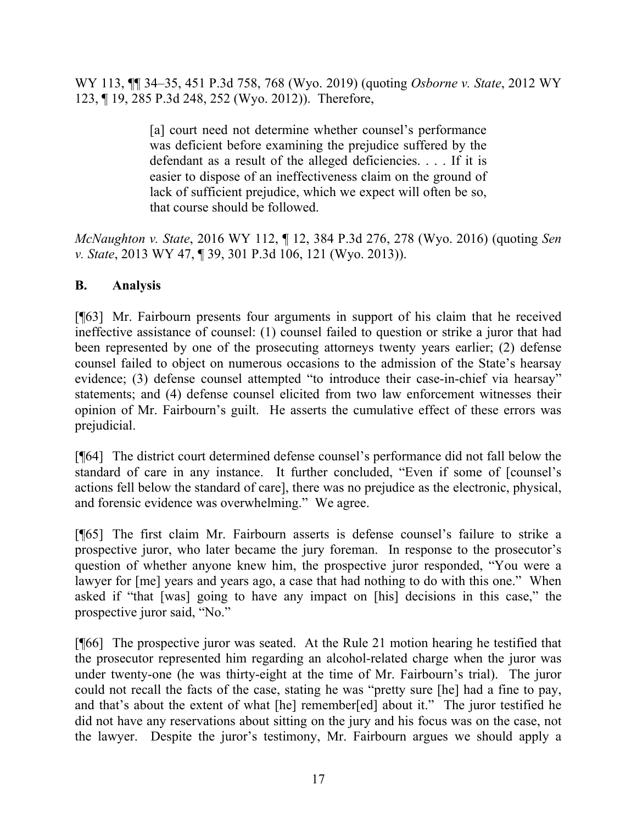WY 113, ¶¶ 34–35, 451 P.3d 758, 768 (Wyo. 2019) (quoting *Osborne v. State*, 2012 WY 123, ¶ 19, 285 P.3d 248, 252 (Wyo. 2012)). Therefore,

> [a] court need not determine whether counsel's performance was deficient before examining the prejudice suffered by the defendant as a result of the alleged deficiencies. . . . If it is easier to dispose of an ineffectiveness claim on the ground of lack of sufficient prejudice, which we expect will often be so, that course should be followed.

*McNaughton v. State*, 2016 WY 112, ¶ 12, 384 P.3d 276, 278 (Wyo. 2016) (quoting *Sen v. State*, 2013 WY 47, ¶ 39, 301 P.3d 106, 121 (Wyo. 2013)).

## **B. Analysis**

[¶63] Mr. Fairbourn presents four arguments in support of his claim that he received ineffective assistance of counsel: (1) counsel failed to question or strike a juror that had been represented by one of the prosecuting attorneys twenty years earlier; (2) defense counsel failed to object on numerous occasions to the admission of the State's hearsay evidence; (3) defense counsel attempted "to introduce their case-in-chief via hearsay" statements; and (4) defense counsel elicited from two law enforcement witnesses their opinion of Mr. Fairbourn's guilt. He asserts the cumulative effect of these errors was prejudicial.

[¶64] The district court determined defense counsel's performance did not fall below the standard of care in any instance. It further concluded, "Even if some of [counsel's actions fell below the standard of care], there was no prejudice as the electronic, physical, and forensic evidence was overwhelming." We agree.

[¶65] The first claim Mr. Fairbourn asserts is defense counsel's failure to strike a prospective juror, who later became the jury foreman. In response to the prosecutor's question of whether anyone knew him, the prospective juror responded, "You were a lawyer for [me] years and years ago, a case that had nothing to do with this one." When asked if "that [was] going to have any impact on [his] decisions in this case," the prospective juror said, "No."

[¶66] The prospective juror was seated. At the Rule 21 motion hearing he testified that the prosecutor represented him regarding an alcohol-related charge when the juror was under twenty-one (he was thirty-eight at the time of Mr. Fairbourn's trial). The juror could not recall the facts of the case, stating he was "pretty sure [he] had a fine to pay, and that's about the extent of what [he] remember[ed] about it." The juror testified he did not have any reservations about sitting on the jury and his focus was on the case, not the lawyer. Despite the juror's testimony, Mr. Fairbourn argues we should apply a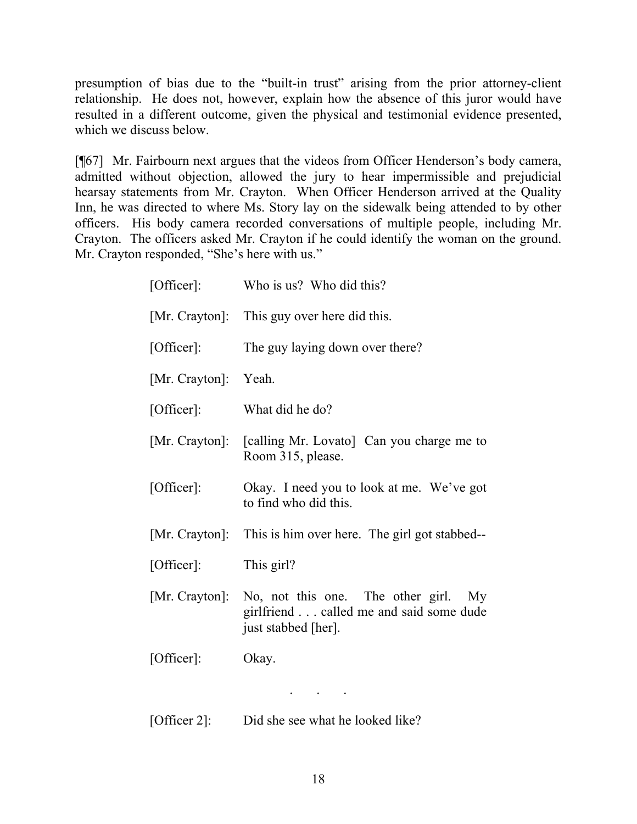presumption of bias due to the "built-in trust" arising from the prior attorney-client relationship. He does not, however, explain how the absence of this juror would have resulted in a different outcome, given the physical and testimonial evidence presented, which we discuss below.

[¶67] Mr. Fairbourn next argues that the videos from Officer Henderson's body camera, admitted without objection, allowed the jury to hear impermissible and prejudicial hearsay statements from Mr. Crayton. When Officer Henderson arrived at the Quality Inn, he was directed to where Ms. Story lay on the sidewalk being attended to by other officers. His body camera recorded conversations of multiple people, including Mr. Crayton. The officers asked Mr. Crayton if he could identify the woman on the ground. Mr. Crayton responded, "She's here with us."

| [Officer]:           | Who is us? Who did this?                                                                                  |
|----------------------|-----------------------------------------------------------------------------------------------------------|
| [Mr. Crayton]:       | This guy over here did this.                                                                              |
| [Officer]:           | The guy laying down over there?                                                                           |
| [Mr. Crayton]: Yeah. |                                                                                                           |
| [Officer]:           | What did he do?                                                                                           |
| [Mr. Crayton]:       | [calling Mr. Lovato] Can you charge me to<br>Room 315, please.                                            |
| [Officer]:           | Okay. I need you to look at me. We've got<br>to find who did this.                                        |
| [Mr. Crayton]:       | This is him over here. The girl got stabbed--                                                             |
| [Officer]:           | This girl?                                                                                                |
| [Mr. Crayton]:       | No, not this one. The other girl.<br>My<br>girlfriend called me and said some dude<br>just stabbed [her]. |
| [Officer]:           | Okay.                                                                                                     |
|                      | $\mathbf{r} = \mathbf{r} \cdot \mathbf{r}$ , where $\mathbf{r} = \mathbf{r} \cdot \mathbf{r}$             |
| [Officer 2]:         | Did she see what he looked like?                                                                          |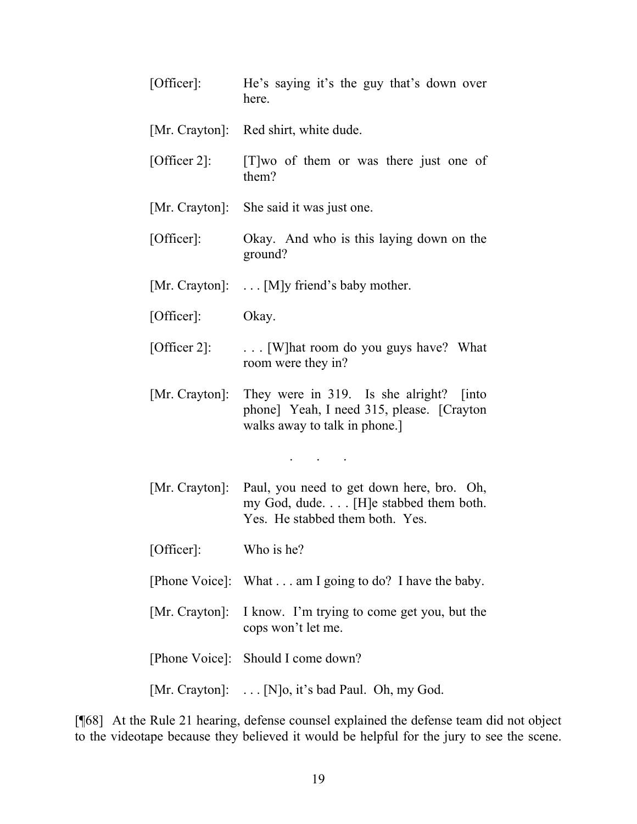| [Office:              | He's saying it's the guy that's down over<br>here.                                                                                    |
|-----------------------|---------------------------------------------------------------------------------------------------------------------------------------|
|                       | [Mr. Crayton]: Red shirt, white dude.                                                                                                 |
|                       | [Officer 2]: [T] wo of them or was there just one of<br>them?                                                                         |
|                       | [Mr. Crayton]: She said it was just one.                                                                                              |
| [Officer]:            | Okay. And who is this laying down on the<br>ground?                                                                                   |
|                       | [Mr. Crayton]: $\dots$ [M]y friend's baby mother.                                                                                     |
| [Office:              | Okay.                                                                                                                                 |
| [Officer 2]:          | [W] hat room do you guys have? What<br>room were they in?                                                                             |
|                       | [Mr. Crayton]: They were in 319. Is she alright? [into<br>phone] Yeah, I need 315, please. [Crayton]<br>walks away to talk in phone.] |
|                       | $\mathbf{r} = \left\{ \begin{array}{ccc} 1 & 0 & 0 \\ 0 & 0 & 0 \\ 0 & 0 & 0 \end{array} \right.$                                     |
| [Mr. Crayton]:        | Paul, you need to get down here, bro. Oh,<br>my God, dude. [H]e stabbed them both.<br>Yes. He stabbed them both. Yes.                 |
| [Officer]: Who is he? |                                                                                                                                       |
|                       | [Phone Voice]: What am I going to do? I have the baby.                                                                                |
| [Mr. Crayton]:        | I know. I'm trying to come get you, but the<br>cops won't let me.                                                                     |
|                       | [Phone Voice]: Should I come down?                                                                                                    |
|                       | [Mr. Crayton]:  [N]o, it's bad Paul. Oh, my God.                                                                                      |

[¶68] At the Rule 21 hearing, defense counsel explained the defense team did not object to the videotape because they believed it would be helpful for the jury to see the scene.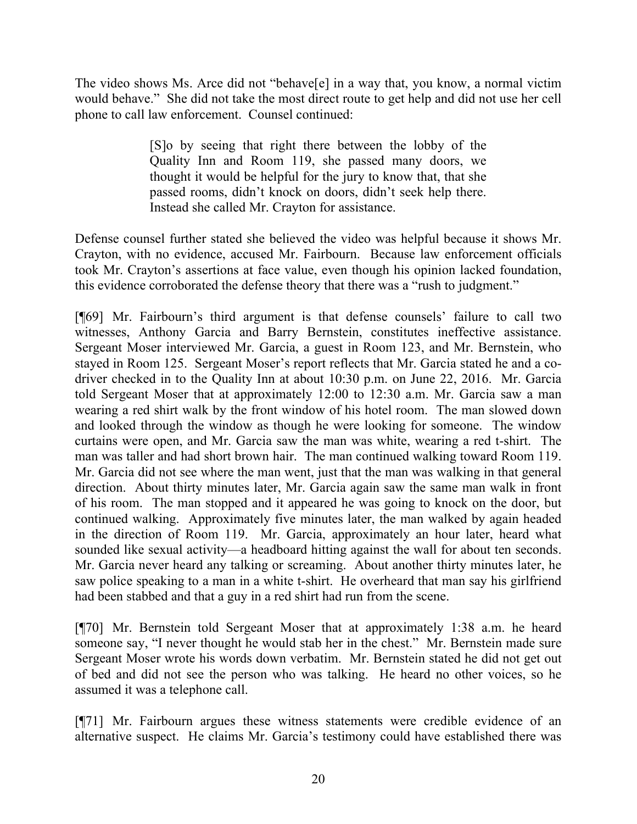The video shows Ms. Arce did not "behave[e] in a way that, you know, a normal victim would behave." She did not take the most direct route to get help and did not use her cell phone to call law enforcement. Counsel continued:

> [S]o by seeing that right there between the lobby of the Quality Inn and Room 119, she passed many doors, we thought it would be helpful for the jury to know that, that she passed rooms, didn't knock on doors, didn't seek help there. Instead she called Mr. Crayton for assistance.

Defense counsel further stated she believed the video was helpful because it shows Mr. Crayton, with no evidence, accused Mr. Fairbourn. Because law enforcement officials took Mr. Crayton's assertions at face value, even though his opinion lacked foundation, this evidence corroborated the defense theory that there was a "rush to judgment."

[¶69] Mr. Fairbourn's third argument is that defense counsels' failure to call two witnesses, Anthony Garcia and Barry Bernstein, constitutes ineffective assistance. Sergeant Moser interviewed Mr. Garcia, a guest in Room 123, and Mr. Bernstein, who stayed in Room 125. Sergeant Moser's report reflects that Mr. Garcia stated he and a codriver checked in to the Quality Inn at about 10:30 p.m. on June 22, 2016. Mr. Garcia told Sergeant Moser that at approximately 12:00 to 12:30 a.m. Mr. Garcia saw a man wearing a red shirt walk by the front window of his hotel room. The man slowed down and looked through the window as though he were looking for someone. The window curtains were open, and Mr. Garcia saw the man was white, wearing a red t-shirt. The man was taller and had short brown hair. The man continued walking toward Room 119. Mr. Garcia did not see where the man went, just that the man was walking in that general direction. About thirty minutes later, Mr. Garcia again saw the same man walk in front of his room. The man stopped and it appeared he was going to knock on the door, but continued walking. Approximately five minutes later, the man walked by again headed in the direction of Room 119. Mr. Garcia, approximately an hour later, heard what sounded like sexual activity—a headboard hitting against the wall for about ten seconds. Mr. Garcia never heard any talking or screaming. About another thirty minutes later, he saw police speaking to a man in a white t-shirt. He overheard that man say his girlfriend had been stabbed and that a guy in a red shirt had run from the scene.

[¶70] Mr. Bernstein told Sergeant Moser that at approximately 1:38 a.m. he heard someone say, "I never thought he would stab her in the chest." Mr. Bernstein made sure Sergeant Moser wrote his words down verbatim. Mr. Bernstein stated he did not get out of bed and did not see the person who was talking. He heard no other voices, so he assumed it was a telephone call.

[¶71] Mr. Fairbourn argues these witness statements were credible evidence of an alternative suspect. He claims Mr. Garcia's testimony could have established there was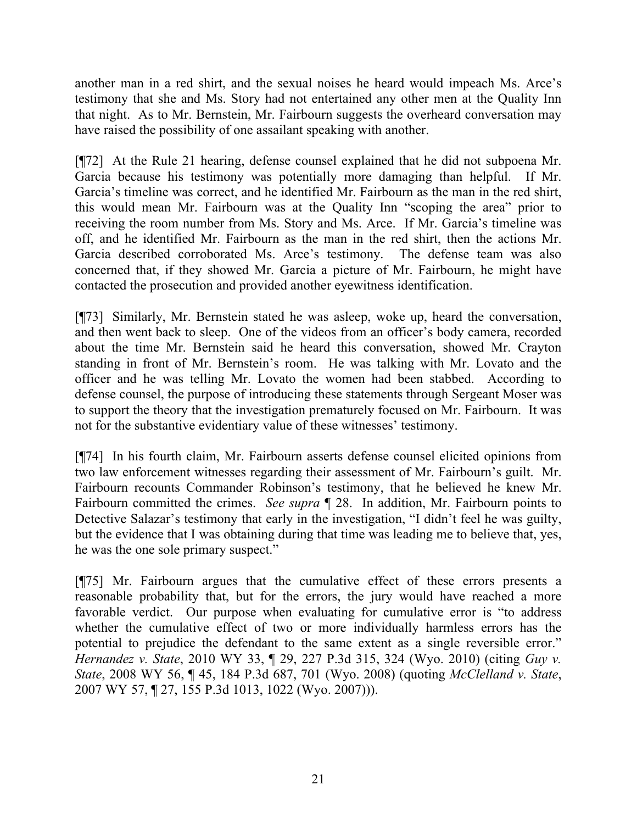another man in a red shirt, and the sexual noises he heard would impeach Ms. Arce's testimony that she and Ms. Story had not entertained any other men at the Quality Inn that night. As to Mr. Bernstein, Mr. Fairbourn suggests the overheard conversation may have raised the possibility of one assailant speaking with another.

[¶72] At the Rule 21 hearing, defense counsel explained that he did not subpoena Mr. Garcia because his testimony was potentially more damaging than helpful. If Mr. Garcia's timeline was correct, and he identified Mr. Fairbourn as the man in the red shirt, this would mean Mr. Fairbourn was at the Quality Inn "scoping the area" prior to receiving the room number from Ms. Story and Ms. Arce. If Mr. Garcia's timeline was off, and he identified Mr. Fairbourn as the man in the red shirt, then the actions Mr. Garcia described corroborated Ms. Arce's testimony. The defense team was also concerned that, if they showed Mr. Garcia a picture of Mr. Fairbourn, he might have contacted the prosecution and provided another eyewitness identification.

[¶73] Similarly, Mr. Bernstein stated he was asleep, woke up, heard the conversation, and then went back to sleep. One of the videos from an officer's body camera, recorded about the time Mr. Bernstein said he heard this conversation, showed Mr. Crayton standing in front of Mr. Bernstein's room. He was talking with Mr. Lovato and the officer and he was telling Mr. Lovato the women had been stabbed. According to defense counsel, the purpose of introducing these statements through Sergeant Moser was to support the theory that the investigation prematurely focused on Mr. Fairbourn. It was not for the substantive evidentiary value of these witnesses' testimony.

[¶74] In his fourth claim, Mr. Fairbourn asserts defense counsel elicited opinions from two law enforcement witnesses regarding their assessment of Mr. Fairbourn's guilt. Mr. Fairbourn recounts Commander Robinson's testimony, that he believed he knew Mr. Fairbourn committed the crimes. *See supra* ¶ 28. In addition, Mr. Fairbourn points to Detective Salazar's testimony that early in the investigation, "I didn't feel he was guilty, but the evidence that I was obtaining during that time was leading me to believe that, yes, he was the one sole primary suspect."

[¶75] Mr. Fairbourn argues that the cumulative effect of these errors presents a reasonable probability that, but for the errors, the jury would have reached a more favorable verdict. Our purpose when evaluating for cumulative error is "to address whether the cumulative effect of two or more individually harmless errors has the potential to prejudice the defendant to the same extent as a single reversible error." *Hernandez v. State*, 2010 WY 33, ¶ 29, 227 P.3d 315, 324 (Wyo. 2010) (citing *Guy v. State*, 2008 WY 56, ¶ 45, 184 P.3d 687, 701 (Wyo. 2008) (quoting *McClelland v. State*, 2007 WY 57, ¶ 27, 155 P.3d 1013, 1022 (Wyo. 2007))).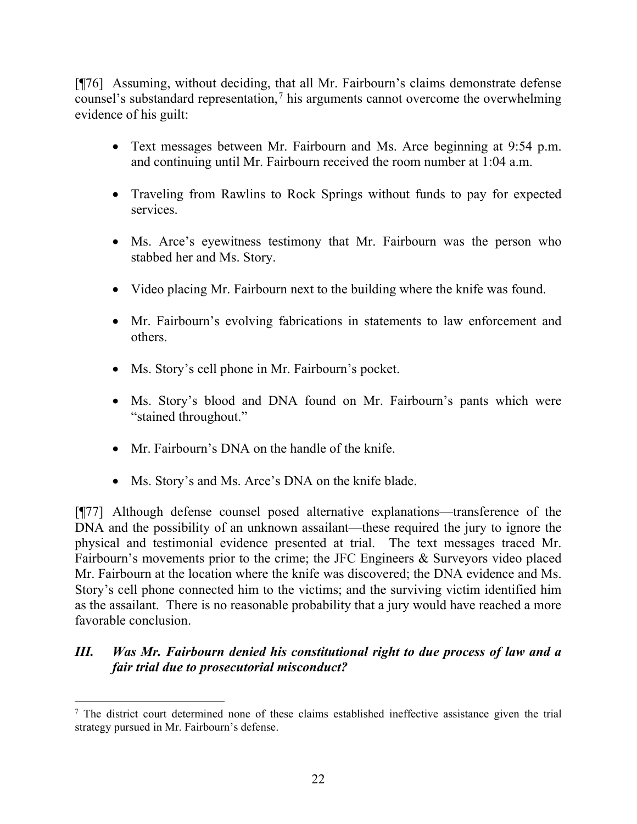[¶76] Assuming, without deciding, that all Mr. Fairbourn's claims demonstrate defense counsel's substandard representation,<sup>[7](#page-22-0)</sup> his arguments cannot overcome the overwhelming evidence of his guilt:

- Text messages between Mr. Fairbourn and Ms. Arce beginning at 9:54 p.m. and continuing until Mr. Fairbourn received the room number at 1:04 a.m.
- Traveling from Rawlins to Rock Springs without funds to pay for expected services.
- Ms. Arce's eyewitness testimony that Mr. Fairbourn was the person who stabbed her and Ms. Story.
- Video placing Mr. Fairbourn next to the building where the knife was found.
- Mr. Fairbourn's evolving fabrications in statements to law enforcement and others.
- Ms. Story's cell phone in Mr. Fairbourn's pocket.
- Ms. Story's blood and DNA found on Mr. Fairbourn's pants which were "stained throughout."
- Mr. Fairbourn's DNA on the handle of the knife.
- Ms. Story's and Ms. Arce's DNA on the knife blade.

[¶77] Although defense counsel posed alternative explanations—transference of the DNA and the possibility of an unknown assailant—these required the jury to ignore the physical and testimonial evidence presented at trial. The text messages traced Mr. Fairbourn's movements prior to the crime; the JFC Engineers & Surveyors video placed Mr. Fairbourn at the location where the knife was discovered; the DNA evidence and Ms. Story's cell phone connected him to the victims; and the surviving victim identified him as the assailant. There is no reasonable probability that a jury would have reached a more favorable conclusion.

# *III. Was Mr. Fairbourn denied his constitutional right to due process of law and a fair trial due to prosecutorial misconduct?*

<span id="page-22-0"></span><sup>&</sup>lt;sup>7</sup> The district court determined none of these claims established ineffective assistance given the trial strategy pursued in Mr. Fairbourn's defense.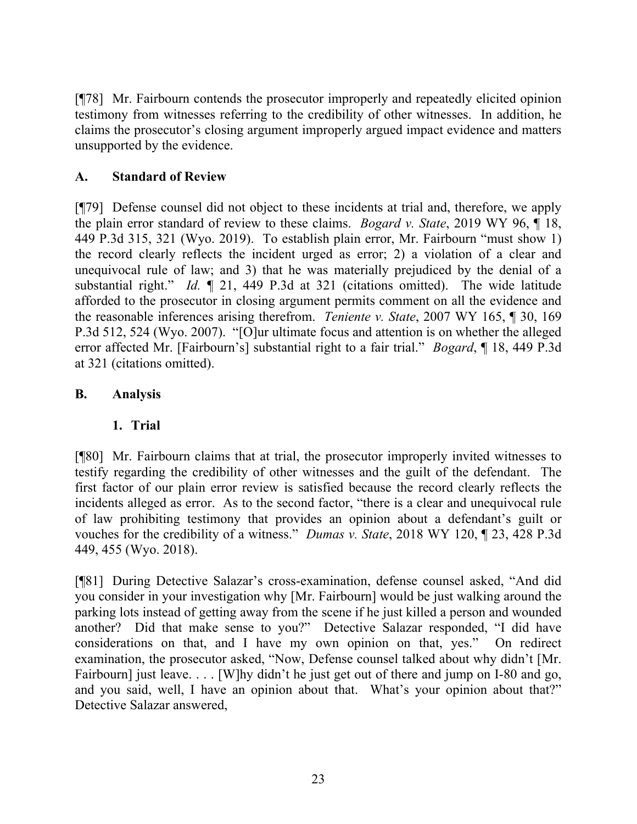[¶78] Mr. Fairbourn contends the prosecutor improperly and repeatedly elicited opinion testimony from witnesses referring to the credibility of other witnesses. In addition, he claims the prosecutor's closing argument improperly argued impact evidence and matters unsupported by the evidence.

## **A. Standard of Review**

[¶79] Defense counsel did not object to these incidents at trial and, therefore, we apply the plain error standard of review to these claims. *Bogard v. State*, 2019 WY 96, ¶ 18, 449 P.3d 315, 321 (Wyo. 2019). To establish plain error, Mr. Fairbourn "must show 1) the record clearly reflects the incident urged as error; 2) a violation of a clear and unequivocal rule of law; and 3) that he was materially prejudiced by the denial of a substantial right." *Id.* ¶ 21, 449 P.3d at 321 (citations omitted). The wide latitude afforded to the prosecutor in closing argument permits comment on all the evidence and the reasonable inferences arising therefrom. *Teniente v. State*, 2007 WY 165, ¶ 30, 169 P.3d 512, 524 (Wyo. 2007). "[O]ur ultimate focus and attention is on whether the alleged error affected Mr. [Fairbourn's] substantial right to a fair trial." *Bogard*, ¶ 18, 449 P.3d at 321 (citations omitted).

## **B. Analysis**

### **1. Trial**

[¶80] Mr. Fairbourn claims that at trial, the prosecutor improperly invited witnesses to testify regarding the credibility of other witnesses and the guilt of the defendant. The first factor of our plain error review is satisfied because the record clearly reflects the incidents alleged as error. As to the second factor, "there is a clear and unequivocal rule of law prohibiting testimony that provides an opinion about a defendant's guilt or vouches for the credibility of a witness." *Dumas v. State*, 2018 WY 120, ¶ 23, 428 P.3d 449, 455 (Wyo. 2018).

[¶81] During Detective Salazar's cross-examination, defense counsel asked, "And did you consider in your investigation why [Mr. Fairbourn] would be just walking around the parking lots instead of getting away from the scene if he just killed a person and wounded another? Did that make sense to you?" Detective Salazar responded, "I did have considerations on that, and I have my own opinion on that, yes." On redirect examination, the prosecutor asked, "Now, Defense counsel talked about why didn't [Mr. Fairbourn] just leave. . . . [W]hy didn't he just get out of there and jump on I-80 and go, and you said, well, I have an opinion about that. What's your opinion about that?" Detective Salazar answered,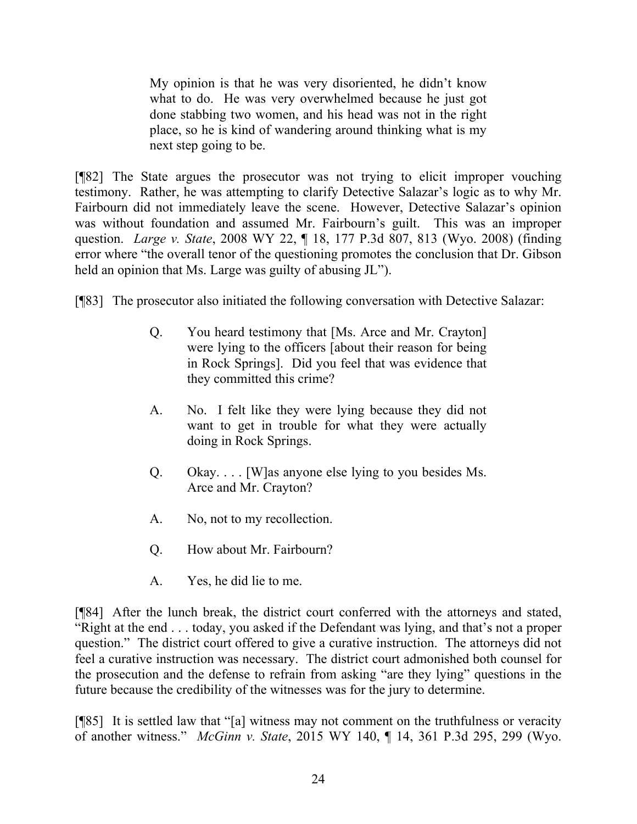My opinion is that he was very disoriented, he didn't know what to do. He was very overwhelmed because he just got done stabbing two women, and his head was not in the right place, so he is kind of wandering around thinking what is my next step going to be.

[¶82] The State argues the prosecutor was not trying to elicit improper vouching testimony. Rather, he was attempting to clarify Detective Salazar's logic as to why Mr. Fairbourn did not immediately leave the scene. However, Detective Salazar's opinion was without foundation and assumed Mr. Fairbourn's guilt. This was an improper question. *Large v. State*, 2008 WY 22, ¶ 18, 177 P.3d 807, 813 (Wyo. 2008) (finding error where "the overall tenor of the questioning promotes the conclusion that Dr. Gibson held an opinion that Ms. Large was guilty of abusing JL").

[¶83] The prosecutor also initiated the following conversation with Detective Salazar:

- Q. You heard testimony that [Ms. Arce and Mr. Crayton] were lying to the officers [about their reason for being in Rock Springs]. Did you feel that was evidence that they committed this crime?
- A. No. I felt like they were lying because they did not want to get in trouble for what they were actually doing in Rock Springs.
- Q. Okay. . . . [W]as anyone else lying to you besides Ms. Arce and Mr. Crayton?
- A. No, not to my recollection.
- Q. How about Mr. Fairbourn?
- A. Yes, he did lie to me.

[¶84] After the lunch break, the district court conferred with the attorneys and stated, "Right at the end . . . today, you asked if the Defendant was lying, and that's not a proper question." The district court offered to give a curative instruction. The attorneys did not feel a curative instruction was necessary. The district court admonished both counsel for the prosecution and the defense to refrain from asking "are they lying" questions in the future because the credibility of the witnesses was for the jury to determine.

[¶85] It is settled law that "[a] witness may not comment on the truthfulness or veracity of another witness." *McGinn v. State*, 2015 WY 140, ¶ 14, 361 P.3d 295, 299 (Wyo.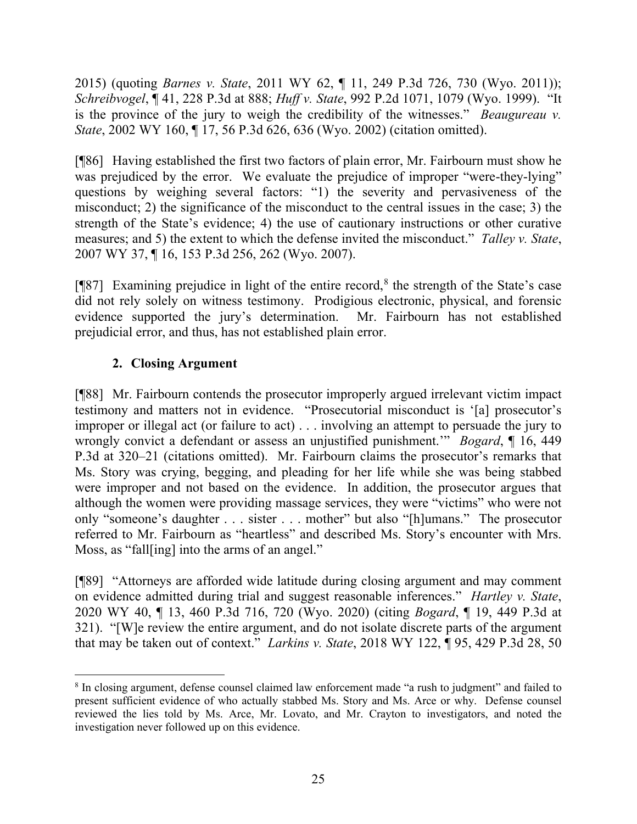2015) (quoting *Barnes v. State*, 2011 WY 62, ¶ 11, 249 P.3d 726, 730 (Wyo. 2011)); *Schreibvogel*, ¶ 41, 228 P.3d at 888; *Huff v. State*, 992 P.2d 1071, 1079 (Wyo. 1999). "It is the province of the jury to weigh the credibility of the witnesses." *Beaugureau v. State*, 2002 WY 160, ¶ 17, 56 P.3d 626, 636 (Wyo. 2002) (citation omitted).

[¶86] Having established the first two factors of plain error, Mr. Fairbourn must show he was prejudiced by the error. We evaluate the prejudice of improper "were-they-lying" questions by weighing several factors: "1) the severity and pervasiveness of the misconduct; 2) the significance of the misconduct to the central issues in the case; 3) the strength of the State's evidence; 4) the use of cautionary instructions or other curative measures; and 5) the extent to which the defense invited the misconduct." *Talley v. State*, 2007 WY 37, ¶ 16, 153 P.3d 256, 262 (Wyo. 2007).

[¶87] Examining prejudice in light of the entire record, [8](#page-25-0) the strength of the State's case did not rely solely on witness testimony. Prodigious electronic, physical, and forensic evidence supported the jury's determination. Mr. Fairbourn has not established prejudicial error, and thus, has not established plain error.

# **2. Closing Argument**

[¶88] Mr. Fairbourn contends the prosecutor improperly argued irrelevant victim impact testimony and matters not in evidence. "Prosecutorial misconduct is '[a] prosecutor's improper or illegal act (or failure to act) . . . involving an attempt to persuade the jury to wrongly convict a defendant or assess an unjustified punishment.'" *Bogard*, ¶ 16, 449 P.3d at 320–21 (citations omitted). Mr. Fairbourn claims the prosecutor's remarks that Ms. Story was crying, begging, and pleading for her life while she was being stabbed were improper and not based on the evidence. In addition, the prosecutor argues that although the women were providing massage services, they were "victims" who were not only "someone's daughter . . . sister . . . mother" but also "[h]umans." The prosecutor referred to Mr. Fairbourn as "heartless" and described Ms. Story's encounter with Mrs. Moss, as "fall[ing] into the arms of an angel."

[¶89] "Attorneys are afforded wide latitude during closing argument and may comment on evidence admitted during trial and suggest reasonable inferences." *Hartley v. State*, 2020 WY 40, ¶ 13, 460 P.3d 716, 720 (Wyo. 2020) (citing *Bogard*, ¶ 19, 449 P.3d at 321). "[W]e review the entire argument, and do not isolate discrete parts of the argument that may be taken out of context." *Larkins v. State*, 2018 WY 122, ¶ 95, 429 P.3d 28, 50

<span id="page-25-0"></span><sup>&</sup>lt;sup>8</sup> In closing argument, defense counsel claimed law enforcement made "a rush to judgment" and failed to present sufficient evidence of who actually stabbed Ms. Story and Ms. Arce or why. Defense counsel reviewed the lies told by Ms. Arce, Mr. Lovato, and Mr. Crayton to investigators, and noted the investigation never followed up on this evidence.